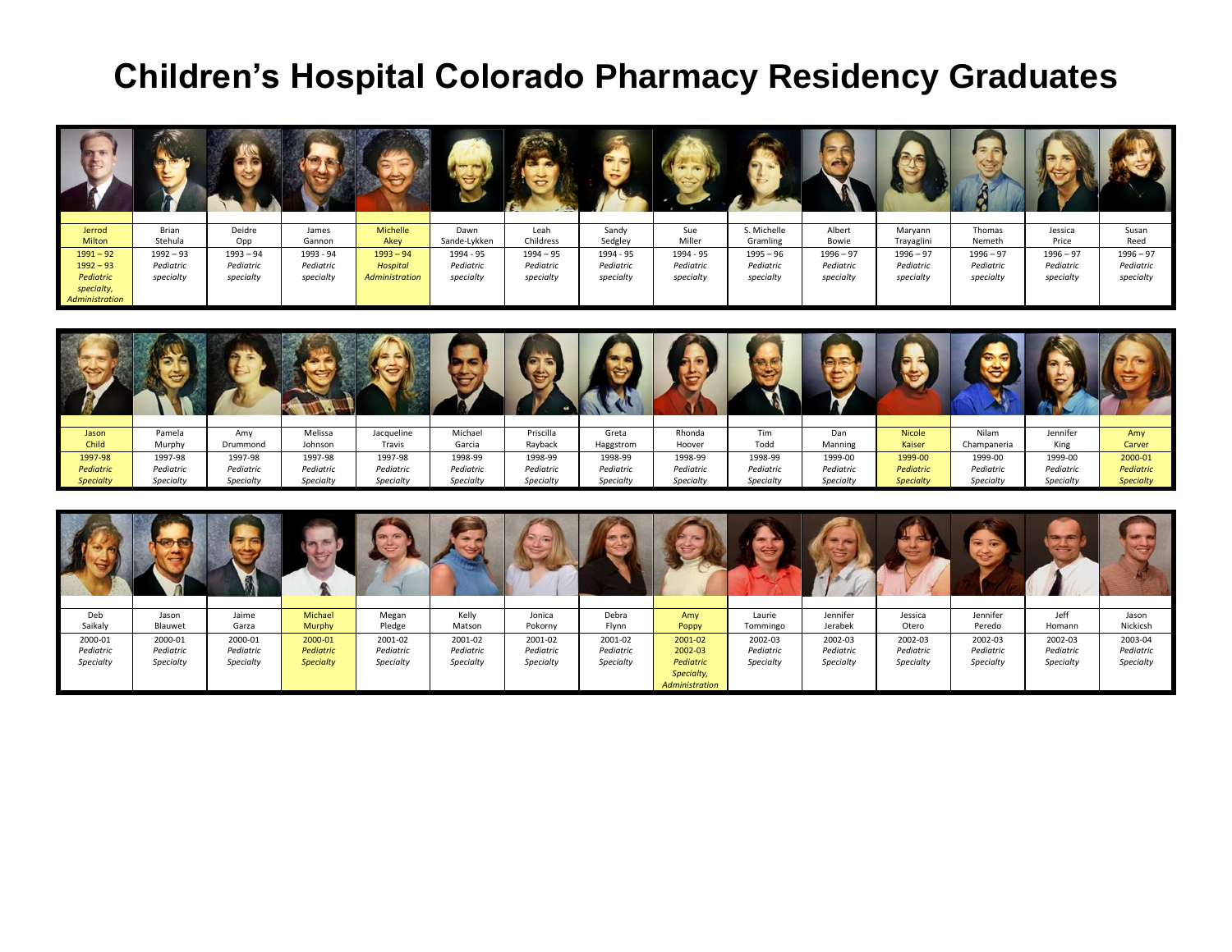## **Children's Hospital Colorado Pharmacy Residency Graduates**

|                |             |             |           |                 |              | <b>STATISTICS</b> |           |           |             |             |             |             |             |             |
|----------------|-------------|-------------|-----------|-----------------|--------------|-------------------|-----------|-----------|-------------|-------------|-------------|-------------|-------------|-------------|
| Jerrod         | Brian       | Deidre      | James     | Michelle        | Dawn         | Leah              | Sandy     | Sue       | S. Michelle | Albert      | Maryann     | Thomas      | Jessica     | Susan       |
| <b>Milton</b>  | Stehula     | Opp         | Gannon    | Akey            | Sande-Lykken | Childress         | Sedgley   | Miller    | Gramling    | Bowie       | Trayaglini  | Nemeth      | Price       | Reed        |
| $1991 - 92$    | $1992 - 93$ | $1993 - 94$ | 1993 - 94 | $1993 - 94$     | 1994 - 95    | $1994 - 95$       | 1994 - 95 | 1994 - 95 | $1995 - 96$ | $1996 - 97$ | $1996 - 97$ | $1996 - 97$ | $1996 - 97$ | $1996 - 97$ |
| $1992 - 93$    | Pediatric   | Pediatric   | Pediatric | <b>Hospital</b> | Pediatric    | Pediatric         | Pediatric | Pediatric | Pediatric   | Pediatric   | Pediatric   | Pediatric   | Pediatric   | Pediatric   |
| Pediatric      | specialty   | specialty   | specialty | Administration  | specialty    | specialty         | specialty | specialty | specialty   | specialty   | specialty   | specialty   | specialty   | specialty   |
| specialty,     |             |             |           |                 |              |                   |           |           |             |             |             |             |             |             |
| Administration |             |             |           |                 |              |                   |           |           |             |             |             |             |             |             |

| Jason            | Pamela    | Amy       | Melissa   | Jacqueline | Michael   | Priscilla | Greta     | Rhonda    | Tim       | Dan       | <b>Nicole</b>    | Nilam       | Jennifer  | Amy              |
|------------------|-----------|-----------|-----------|------------|-----------|-----------|-----------|-----------|-----------|-----------|------------------|-------------|-----------|------------------|
| Child            | Murphy    | Drummond  | Johnson   | Travis     | Garcia    | Rayback   | Haggstrom | Hoover    | Todd      | Manning   | Kaiser           | Champaneria | King      | Carver           |
| 1997-98          | 1997-98   | 1997-98   | 1997-98   | 1997-98    | 1998-99   | 1998-99   | 1998-99   | 1998-99   | 1998-99   | 1999-00   | 1999-00          | 1999-00     | 1999-00   | 2000-01          |
| Pediatric        | Pediatric | Pediatric | Pediatric | Pediatric  | Pediatric | Pediatric | Pediatric | Pediatric | Pediatric | Pediatric | Pediatric        | Pediatric   | Pediatric | Pediatric        |
| <b>Specialty</b> | Specialty | Specialty | Specialty | Specialty  | Specialty | Specialty | Specialty | Specialty | Specialty | Specialty | <b>Specialty</b> | Specialty   | Specialty | <b>Specialty</b> |

| Deb       | Jason     | Jaime     | Michael          | Megan     | Kelly     | Jonica    | Debra     | Amy            | Laurie    | Jennifer  | Jessica   | Jennifer  | Jeff      | Jason     |
|-----------|-----------|-----------|------------------|-----------|-----------|-----------|-----------|----------------|-----------|-----------|-----------|-----------|-----------|-----------|
| Saikaly   | Blauwet   | Garza     | <b>Murphy</b>    | Pledge    | Matson    | Pokorny   | Flynn     | Poppy          | Tommingo  | Jerabek   | Otero     | Peredo    | Homann    | Nickicsh  |
| 2000-01   | 2000-01   | 2000-01   | 2000-01          | 2001-02   | 2001-02   | 2001-02   | 2001-02   | 2001-02        | 2002-03   | 2002-03   | 2002-03   | 2002-03   | 2002-03   | 2003-04   |
| Pediatric | Pediatric | Pediatric | Pediatric        | Pediatric | Pediatric | Pediatric | Pediatric | 2002-03        | Pediatric | Pediatric | Pediatric | Pediatric | Pediatric | Pediatric |
| Specialty | Specialty | Specialty | <b>Specialty</b> | Specialty | Specialty | Specialty | Specialty | Pediatric      | Specialty | Specialty | Specialty | Specialty | Specialty | Specialty |
|           |           |           |                  |           |           |           |           | Specialty,     |           |           |           |           |           |           |
|           |           |           |                  |           |           |           |           | Administration |           |           |           |           |           |           |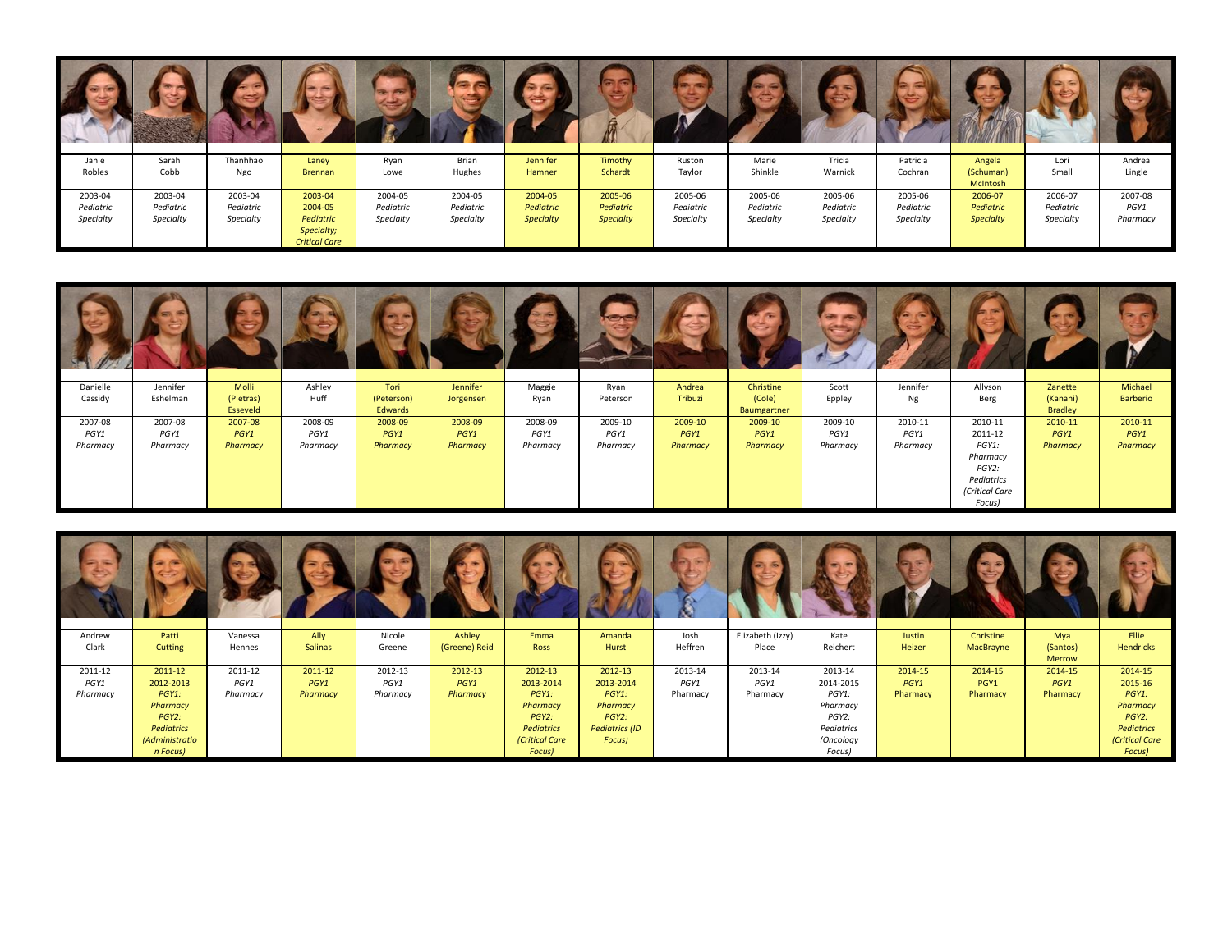| Janie     | Sarah     | Thanhhao  | Laney                | Ryan      | Brian     | Jennifer         | Timothy          | Ruston    | Marie     | Tricia    | Patricia  | Angela           | Lori      | Andrea   |
|-----------|-----------|-----------|----------------------|-----------|-----------|------------------|------------------|-----------|-----------|-----------|-----------|------------------|-----------|----------|
| Robles    | Cobb      | Ngo       | <b>Brennan</b>       | Lowe      | Hughes    | Hamner           | Schardt          | Taylor    | Shinkle   | Warnick   | Cochran   | (Schuman)        | Small     | Lingle   |
|           |           |           |                      |           |           |                  |                  |           |           |           |           | McIntosh         |           |          |
| 2003-04   | 2003-04   | 2003-04   | 2003-04              | 2004-05   | 2004-05   | 2004-05          | 2005-06          | 2005-06   | 2005-06   | 2005-06   | 2005-06   | 2006-07          | 2006-07   | 2007-08  |
| Pediatric | Pediatric | Pediatric | 2004-05              | Pediatric | Pediatric | Pediatric        | Pediatric        | Pediatric | Pediatric | Pediatric | Pediatric | Pediatric        | Pediatric | PGY1     |
| Specialty | Specialty | Specialty | Pediatric            | Specialty | Specialty | <b>Specialty</b> | <b>Specialty</b> | Specialty | Specialty | Specialty | Specialty | <b>Specialty</b> | Specialty | Pharmacy |
|           |           |           | Specialty;           |           |           |                  |                  |           |           |           |           |                  |           |          |
|           |           |           | <b>Critical Care</b> |           |           |                  |                  |           |           |           |           |                  |           |          |

| Danielle                    | Jennifer                    | Molli                       | Ashley                      | Tori                        | Jennifer                    | Maggie                      | Ryan                        | Andrea                      | Christine                   | Scott                       | Jennifer                    | Allyson                                                                                    | Zanette                     | Michael                     |
|-----------------------------|-----------------------------|-----------------------------|-----------------------------|-----------------------------|-----------------------------|-----------------------------|-----------------------------|-----------------------------|-----------------------------|-----------------------------|-----------------------------|--------------------------------------------------------------------------------------------|-----------------------------|-----------------------------|
| Cassidy                     | Eshelman                    | (Pietras)<br>Esseveld       | Huff                        | (Peterson)<br>Edwards       | Jorgensen                   | Ryan                        | Peterson                    | Tribuzi                     | (Cole)<br>Baumgartner       | Eppley                      | Ng                          | Berg                                                                                       | (Kanani)<br><b>Bradley</b>  | <b>Barberio</b>             |
| 2007-08<br>PGY1<br>Pharmacy | 2007-08<br>PGY1<br>Pharmacy | 2007-08<br>PGY1<br>Pharmacy | 2008-09<br>PGY1<br>Pharmacy | 2008-09<br>PGY1<br>Pharmacy | 2008-09<br>PGY1<br>Pharmacy | 2008-09<br>PGY1<br>Pharmacy | 2009-10<br>PGY1<br>Pharmacy | 2009-10<br>PGY1<br>Pharmacy | 2009-10<br>PGY1<br>Pharmacy | 2009-10<br>PGY1<br>Pharmacy | 2010-11<br>PGY1<br>Pharmacy | 2010-11<br>2011-12<br>PGY1:<br>Pharmacy<br>PGY2:<br>Pediatrics<br>(Critical Care<br>Focus) | 2010-11<br>PGY1<br>Pharmacy | 2010-11<br>PGY1<br>Pharmacy |

| Andrew<br>Clark | Patti<br>Cutting | Vanessa<br>Hennes | Ally<br><b>Salinas</b> | Nicole<br>Greene | Ashley<br>(Greene) Reid | Emma<br>Ross   | Amanda<br>Hurst       | Josh<br>Heffren | Elizabeth (Izzy)<br>Place | Kate<br>Reichert | Justin<br>Heizer | Christine<br>MacBrayne | Mya<br>(Santos) | Ellie<br><b>Hendricks</b> |
|-----------------|------------------|-------------------|------------------------|------------------|-------------------------|----------------|-----------------------|-----------------|---------------------------|------------------|------------------|------------------------|-----------------|---------------------------|
|                 |                  |                   |                        |                  |                         |                |                       |                 |                           |                  |                  |                        | <b>Merrow</b>   |                           |
| 2011-12         | 2011-12          | 2011-12           | 2011-12                | 2012-13          | 2012-13                 | 2012-13        | 2012-13               | 2013-14         | 2013-14                   | 2013-14          | 2014-15          | 2014-15                | 2014-15         | 2014-15                   |
| PGY1            | 2012-2013        | PGY1              | PGY1                   | PGY1             | PGY1                    | 2013-2014      | 2013-2014             | PGY1            | PGY1                      | 2014-2015        | PGY1             | PGY1                   | PGY1            | 2015-16                   |
| Pharmacy        | $PGY1$ :         | Pharmacy          | Pharmacy               | Pharmacy         | Pharmacy                | $PGY1$ :       | $PGY1$ :              | Pharmacy        | Pharmacy                  | PGY1:            | Pharmacy         | Pharmacy               | Pharmacy        | $PGY1$ :                  |
|                 | Pharmacy         |                   |                        |                  |                         | Pharmacy       | Pharmacy              |                 |                           | Pharmacy         |                  |                        |                 | Pharmacy                  |
|                 | $PGY2$ :         |                   |                        |                  |                         | PGY2:          | PGY2:                 |                 |                           | PGY2:            |                  |                        |                 | PGY2:                     |
|                 | Pediatrics       |                   |                        |                  |                         | Pediatrics     | <b>Pediatrics (ID</b> |                 |                           | Pediatrics       |                  |                        |                 | Pediatrics                |
|                 | (Administratio   |                   |                        |                  |                         | (Critical Care | Focus)                |                 |                           | (Oncology        |                  |                        |                 | (Critical Care            |
|                 | n Focus)         |                   |                        |                  |                         | Focus)         |                       |                 |                           | Focus)           |                  |                        |                 | Focus)                    |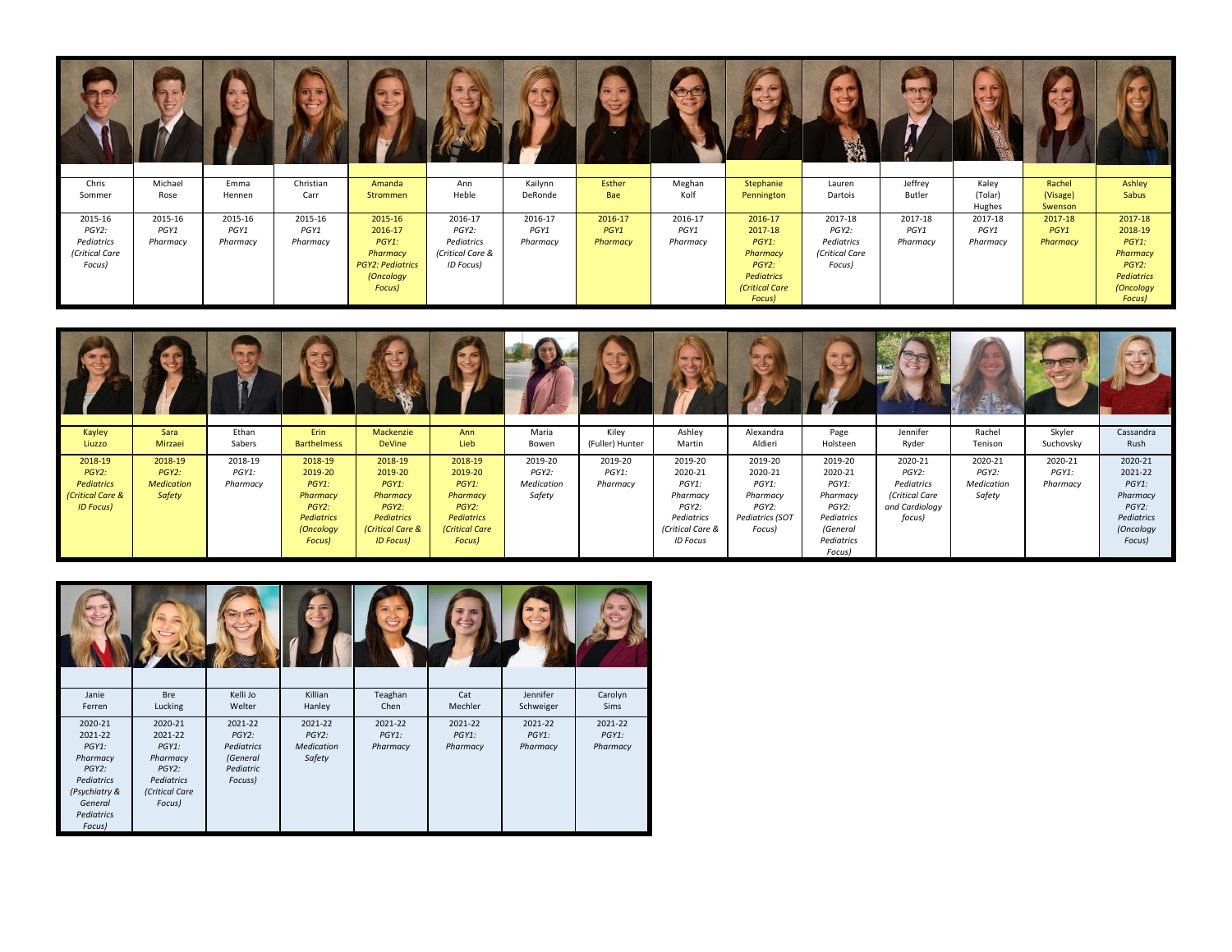| Chris          | Michael  | Emma     | Christian | Amanda                  | Ann              | Kailynn  | Esther   | Meghan   | Stephanie      | Lauren         | Jeffrey  | Kaley             | Rachel              | Ashley     |
|----------------|----------|----------|-----------|-------------------------|------------------|----------|----------|----------|----------------|----------------|----------|-------------------|---------------------|------------|
| Sommer         | Rose     | Hennen   | Carr      | Strommen                | Heble            | DeRonde  | Bae      | Kolf     | Pennington     | Dartois        | Butler   | (Tolar)<br>Hughes | (Visage)<br>Swenson | Sabus      |
| 2015-16        | 2015-16  | 2015-16  | 2015-16   | 2015-16                 | 2016-17          | 2016-17  | 2016-17  | 2016-17  | 2016-17        | 2017-18        | 2017-18  | 2017-18           | 2017-18             | 2017-18    |
| PGY2:          | PGY1     | PGY1     | PGY1      | 2016-17                 | PGY2:            | PGY1     | PGY1     | PGY1     | 2017-18        | PGY2:          | PGY1     | PGY1              | PGY1                | 2018-19    |
| Pediatrics     | Pharmacy | Pharmacy | Pharmacy  | PGY1:                   | Pediatrics       | Pharmacy | Pharmacy | Pharmacy | PGY1:          | Pediatrics     | Pharmacy | Pharmacy          | Pharmacy            | PGY1:      |
| (Critical Care |          |          |           | Pharmacy                | (Critical Care & |          |          |          | Pharmacy       | (Critical Care |          |                   |                     | Pharmacy   |
| Focus)         |          |          |           | <b>PGY2: Pediatrics</b> | ID Focus)        |          |          |          | PGY2:          | Focus)         |          |                   |                     | PGY2:      |
|                |          |          |           | (Oncology               |                  |          |          |          | Pediatrics     |                |          |                   |                     | Pediatrics |
|                |          |          |           | Focus)                  |                  |          |          |          | (Critical Care |                |          |                   |                     | (Oncology  |
|                |          |          |           |                         |                  |          |          |          | Focus)         |                |          |                   |                     | Focus)     |

| Kayley           | Sara              | Ethan    | Erin               | Mackenzie         | Ann            | Maria      | Kiley           | Ashley           | Alexandra       | Page       | Jennifer       | Rachel     | Skyler    | Cassandra  |
|------------------|-------------------|----------|--------------------|-------------------|----------------|------------|-----------------|------------------|-----------------|------------|----------------|------------|-----------|------------|
| Liuzzo           | Mirzaei           | Sabers   | <b>Barthelmess</b> | <b>DeVine</b>     | Lieb           | Bowen      | (Fuller) Hunter | Martin           | Aldieri         | Holsteen   | Ryder          | Tenison    | Suchovsky | Rush       |
| 2018-19          | 2018-19           | 2018-19  | 2018-19            | 2018-19           | 2018-19        | 2019-20    | 2019-20         | 2019-20          | 2019-20         | 2019-20    | 2020-21        | 2020-21    | 2020-21   | 2020-21    |
| PGY2:            | PGY2:             | PGY1:    | 2019-20            | 2019-20           | 2019-20        | PGY2:      | PGY1:           | 2020-21          | 2020-21         | 2020-21    | PGY2:          | PGY2:      | PGY1:     | 2021-22    |
| Pediatrics       | <b>Medication</b> | Pharmacy | PGY1:              | PGY1:             | PGY1:          | Medication | Pharmacy        | PGY1:            | PGY1:           | PGY1:      | Pediatrics     | Medication | Pharmacy  | PGY1:      |
| (Critical Care & | Safety            |          | Pharmacy           | Pharmacy          | Pharmacy       | Safety     |                 | Pharmacy         | Pharmacy        | Pharmacy   | (Critical Care | Safety     |           | Pharmacy   |
| <b>ID Focus)</b> |                   |          | PGY2:              | PGY2:             | PGY2:          |            |                 | PGY2:            | PGY2:           | PGY2:      | and Cardiology |            |           | PGY2:      |
|                  |                   |          | <b>Pediatrics</b>  | <b>Pediatrics</b> | Pediatrics     |            |                 | Pediatrics       | Pediatrics (SOT | Pediatrics | focus)         |            |           | Pediatrics |
|                  |                   |          | (Oncology          | (Critical Care &  | (Critical Care |            |                 | (Critical Care & | Focus)          | (General   |                |            |           | (Oncology  |
|                  |                   |          | Focus)             | <b>ID Focus)</b>  | Focus)         |            |                 | <b>ID Focus</b>  |                 | Pediatrics |                |            |           | Focus)     |
|                  |                   |          |                    |                   |                |            |                 |                  |                 | Focus)     |                |            |           |            |

| Janie<br>Ferren                                                                                                       | <b>Bre</b><br>Lucking                                                                         | Kelli Jo<br>Welter                                                    | Killian<br>Hanley                                  | Teaghan<br>Chen                 | Cat<br>Mechler                  | Jennifer<br>Schweiger           | Carolyn<br>Sims                 |
|-----------------------------------------------------------------------------------------------------------------------|-----------------------------------------------------------------------------------------------|-----------------------------------------------------------------------|----------------------------------------------------|---------------------------------|---------------------------------|---------------------------------|---------------------------------|
| 2020-21<br>2021-22<br>$PGY1$ :<br>Pharmacy<br>PGY2:<br>Pediatrics<br>(Psychiatry &<br>General<br>Pediatrics<br>Focus) | 2020-21<br>2021-22<br>$PGY1$ :<br>Pharmacy<br>PGY2:<br>Pediatrics<br>(Critical Care<br>Focus) | 2021-22<br>$PGY2$ :<br>Pediatrics<br>(General<br>Pediatric<br>Focuss) | 2021-22<br>$PGY2$ :<br><b>Medication</b><br>Safety | 2021-22<br>$PGY1$ :<br>Pharmacy | 2021-22<br>$PGY1$ :<br>Pharmacy | 2021-22<br>$PGY1$ :<br>Pharmacy | 2021-22<br>$PGY1$ :<br>Pharmacy |